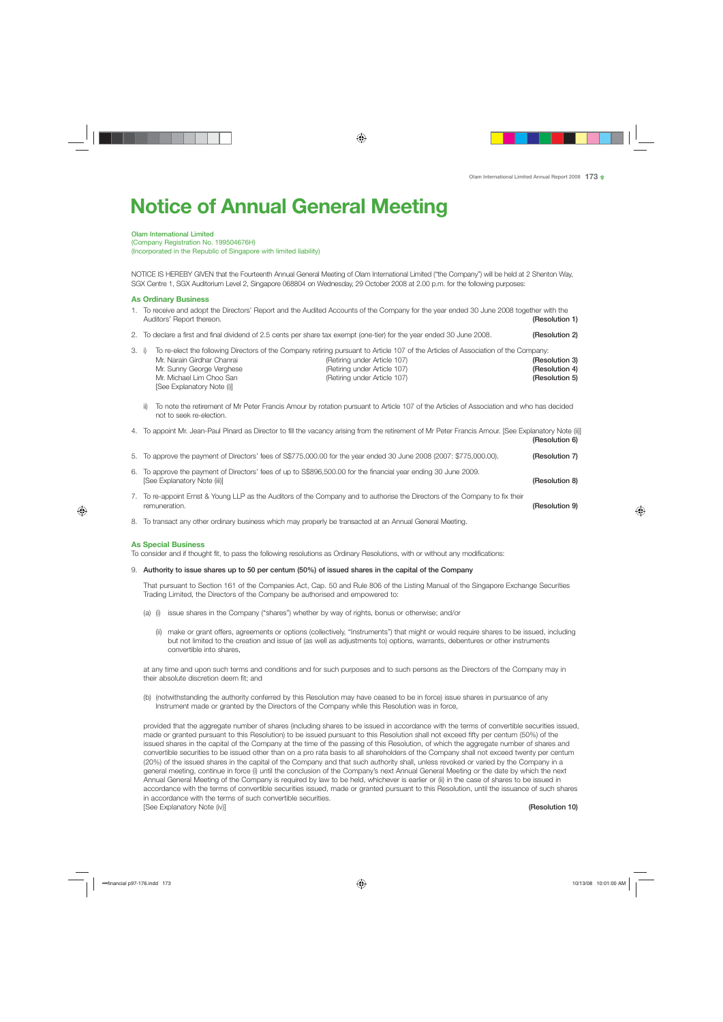# **Notice of Annual General Meeting**

Olam International Limited

(Company Registration No. 199504676H) (Incorporated in the Republic of Singapore with limited liability)

NOTICE IS HEREBY GIVEN that the Fourteenth Annual General Meeting of Olam International Limited ("the Company") will be held at 2 Shenton Way, SGX Centre 1, SGX Auditorium Level 2, Singapore 068804 on Wednesday, 29 October 2008 at 2.00 p.m. for the following purposes:

# **As Ordinary Business**

- 1. To receive and adopt the Directors' Report and the Audited Accounts of the Company for the year ended 30 June 2008 together with the Auditors' Report thereon. **(Resolution 1)** Auditors' Report thereon.
- 2. To declare a first and final dividend of 2.5 cents per share tax exempt (one-tier) for the year ended 30 June 2008. (Resolution 2)
- 3. i) To re-elect the following Directors of the Company retiring pursuant to Article 107 of the Articles of Association of the Company: Mr. Narain Girdhar Chanrai **Chance Channel Channel Channel Channel Channel (Retiring under Article 107)** (Resolution 3) Mr. Sunny George Verghese **(Retiring under Article 107)** Mr. Sunny George **(Resolution 4)** (Resolution 4) Mr. Michael Lim Choo San **Christian Chooper Control (Retiring under Article 107)** Mr. Michael Lim Choo San **(Resolution 5)**  [See Explanatory Note (i)]
	- ii) To note the retirement of Mr Peter Francis Amour by rotation pursuant to Article 107 of the Articles of Association and who has decided not to seek re-election.
- 4. To appoint Mr. Jean-Paul Pinard as Director to fill the vacancy arising from the retirement of Mr Peter Francis Amour. [See Explanatory Note (ii)] (Resolution 6)
- 5. To approve the payment of Directors' fees of S\$775,000.00 for the year ended 30 June 2008 (2007: \$775,000.00). (Resolution 7)
- 6. To approve the payment of Directors' fees of up to S\$896,500.00 for the financial year ending 30 June 2009. [See Explanatory Note (iii)] (Resolution 8)
- 7. To re-appoint Ernst & Young LLP as the Auditors of the Company and to authorise the Directors of the Company to fix their remuneration. **(Resolution 9)**  $\blacksquare$
- 8. To transact any other ordinary business which may properly be transacted at an Annual General Meeting.

## **As Special Business**

To consider and if thought fit, to pass the following resolutions as Ordinary Resolutions, with or without any modifications:

9. Authority to issue shares up to 50 per centum (50%) of issued shares in the capital of the Company

 That pursuant to Section 161 of the Companies Act, Cap. 50 and Rule 806 of the Listing Manual of the Singapore Exchange Securities Trading Limited, the Directors of the Company be authorised and empowered to:

- (a) (i) issue shares in the Company ("shares") whether by way of rights, bonus or otherwise; and/or
	- (ii) make or grant offers, agreements or options (collectively, "Instruments") that might or would require shares to be issued, including but not limited to the creation and issue of (as well as adjustments to) options, warrants, debentures or other instruments convertible into shares,

 at any time and upon such terms and conditions and for such purposes and to such persons as the Directors of the Company may in their absolute discretion deem fit; and

 (b) (notwithstanding the authority conferred by this Resolution may have ceased to be in force) issue shares in pursuance of any Instrument made or granted by the Directors of the Company while this Resolution was in force,

 provided that the aggregate number of shares (including shares to be issued in accordance with the terms of convertible securities issued, made or granted pursuant to this Resolution) to be issued pursuant to this Resolution shall not exceed fifty per centum (50%) of the issued shares in the capital of the Company at the time of the passing of this Resolution, of which the aggregate number of shares and convertible securities to be issued other than on a pro rata basis to all shareholders of the Company shall not exceed twenty per centum (20%) of the issued shares in the capital of the Company and that such authority shall, unless revoked or varied by the Company in a general meeting, continue in force (i) until the conclusion of the Company's next Annual General Meeting or the date by which the next Annual General Meeting of the Company is required by law to be held, whichever is earlier or (ii) in the case of shares to be issued in accordance with the terms of convertible securities issued, made or granted pursuant to this Resolution, until the issuance of such shares in accordance with the terms of such convertible securities. [See Explanatory Note (iv)] (Resolution 10)